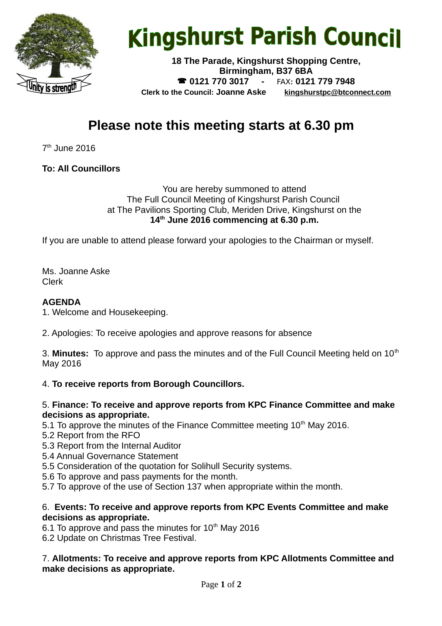

# **Kingshurst Parish Council**

**18 The Parade, Kingshurst Shopping Centre, Birmingham, B37 6BA 0121 770 3017 -** FAX**: 0121 779 7948 Clerk to the Council: Joanne Aske [kingshurstpc@btconnect.com](mailto:kingshurstpc@btconnect.com)**

# **Please note this meeting starts at 6.30 pm**

7<sup>th</sup> June 2016

## **To: All Councillors**

#### You are hereby summoned to attend The Full Council Meeting of Kingshurst Parish Council at The Pavilions Sporting Club, Meriden Drive, Kingshurst on the **14th June 2016 commencing at 6.30 p.m.**

If you are unable to attend please forward your apologies to the Chairman or myself.

Ms. Joanne Aske Clerk

#### **AGENDA**

1. Welcome and Housekeeping.

2. Apologies: To receive apologies and approve reasons for absence

3. **Minutes:** To approve and pass the minutes and of the Full Council Meeting held on 10<sup>th</sup> May 2016

### 4. **To receive reports from Borough Councillors.**

#### 5. **Finance: To receive and approve reports from KPC Finance Committee and make decisions as appropriate.**

5.1 To approve the minutes of the Finance Committee meeting  $10<sup>th</sup>$  May 2016.

- 5.2 Report from the RFO
- 5.3 Report from the Internal Auditor
- 5.4 Annual Governance Statement
- 5.5 Consideration of the quotation for Solihull Security systems.
- 5.6 To approve and pass payments for the month.
- 5.7 To approve of the use of Section 137 when appropriate within the month.

#### 6. **Events: To receive and approve reports from KPC Events Committee and make decisions as appropriate.**

6.1 To approve and pass the minutes for  $10<sup>th</sup>$  May 2016

6.2 Update on Christmas Tree Festival.

7. **Allotments: To receive and approve reports from KPC Allotments Committee and make decisions as appropriate.**